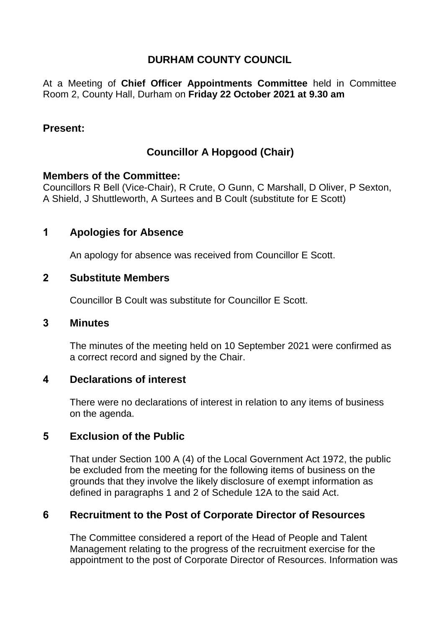# **DURHAM COUNTY COUNCIL**

At a Meeting of **Chief Officer Appointments Committee** held in Committee Room 2, County Hall, Durham on **Friday 22 October 2021 at 9.30 am**

## **Present:**

# **Councillor A Hopgood (Chair)**

#### **Members of the Committee:**

Councillors R Bell (Vice-Chair), R Crute, O Gunn, C Marshall, D Oliver, P Sexton, A Shield, J Shuttleworth, A Surtees and B Coult (substitute for E Scott)

# **1 Apologies for Absence**

An apology for absence was received from Councillor E Scott.

### **2 Substitute Members**

Councillor B Coult was substitute for Councillor E Scott.

### **3 Minutes**

The minutes of the meeting held on 10 September 2021 were confirmed as a correct record and signed by the Chair.

### **4 Declarations of interest**

There were no declarations of interest in relation to any items of business on the agenda.

### **5 Exclusion of the Public**

That under Section 100 A (4) of the Local Government Act 1972, the public be excluded from the meeting for the following items of business on the grounds that they involve the likely disclosure of exempt information as defined in paragraphs 1 and 2 of Schedule 12A to the said Act.

### **6 Recruitment to the Post of Corporate Director of Resources**

The Committee considered a report of the Head of People and Talent Management relating to the progress of the recruitment exercise for the appointment to the post of Corporate Director of Resources. Information was